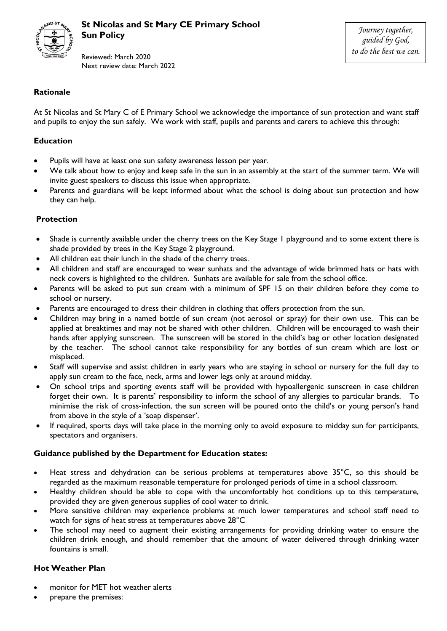

Reviewed: March 2020 Next review date: March 2022

## **Rationale**

At St Nicolas and St Mary C of E Primary School we acknowledge the importance of sun protection and want staff and pupils to enjoy the sun safely. We work with staff, pupils and parents and carers to achieve this through:

#### **Education**

- Pupils will have at least one sun safety awareness lesson per year.
- We talk about how to enjoy and keep safe in the sun in an assembly at the start of the summer term. We will invite guest speakers to discuss this issue when appropriate.
- Parents and guardians will be kept informed about what the school is doing about sun protection and how they can help.

#### **Protection**

- Shade is currently available under the cherry trees on the Key Stage 1 playground and to some extent there is shade provided by trees in the Key Stage 2 playground.
- All children eat their lunch in the shade of the cherry trees.
- All children and staff are encouraged to wear sunhats and the advantage of wide brimmed hats or hats with neck covers is highlighted to the children. Sunhats are available for sale from the school office.
- Parents will be asked to put sun cream with a minimum of SPF 15 on their children before they come to school or nursery.
- Parents are encouraged to dress their children in clothing that offers protection from the sun.
- Children may bring in a named bottle of sun cream (not aerosol or spray) for their own use. This can be applied at breaktimes and may not be shared with other children. Children will be encouraged to wash their hands after applying sunscreen. The sunscreen will be stored in the child's bag or other location designated by the teacher. The school cannot take responsibility for any bottles of sun cream which are lost or misplaced.
- Staff will supervise and assist children in early years who are staying in school or nursery for the full day to apply sun cream to the face, neck, arms and lower legs only at around midday.
- On school trips and sporting events staff will be provided with hypoallergenic sunscreen in case children forget their own. It is parents' responsibility to inform the school of any allergies to particular brands. To minimise the risk of cross-infection, the sun screen will be poured onto the child's or young person's hand from above in the style of a 'soap dispenser'.
- If required, sports days will take place in the morning only to avoid exposure to midday sun for participants, spectators and organisers.

#### **Guidance published by the Department for Education states:**

- Heat stress and dehydration can be serious problems at temperatures above 35°C, so this should be regarded as the maximum reasonable temperature for prolonged periods of time in a school classroom.
- Healthy children should be able to cope with the uncomfortably hot conditions up to this temperature, provided they are given generous supplies of cool water to drink.
- More sensitive children may experience problems at much lower temperatures and school staff need to watch for signs of heat stress at temperatures above 28°C
- The school may need to augment their existing arrangements for providing drinking water to ensure the children drink enough, and should remember that the amount of water delivered through drinking water fountains is small.

### **Hot Weather Plan**

- monitor for MET hot weather alerts
- prepare the premises: